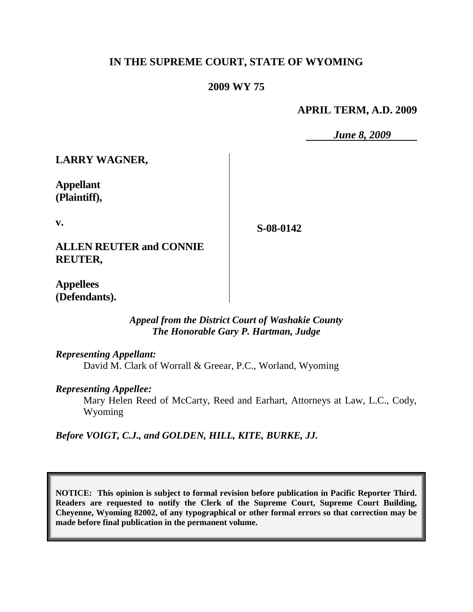# **IN THE SUPREME COURT, STATE OF WYOMING**

## **2009 WY 75**

**APRIL TERM, A.D. 2009**

*June 8, 2009*

**LARRY WAGNER,**

**Appellant (Plaintiff),**

**v.**

**S-08-0142**

**ALLEN REUTER and CONNIE REUTER,**

**Appellees (Defendants).**

### *Appeal from the District Court of Washakie County The Honorable Gary P. Hartman, Judge*

*Representing Appellant:* David M. Clark of Worrall & Greear, P.C., Worland, Wyoming

*Representing Appellee:*

Mary Helen Reed of McCarty, Reed and Earhart, Attorneys at Law, L.C., Cody, Wyoming

*Before VOIGT, C.J., and GOLDEN, HILL, KITE, BURKE, JJ.*

**NOTICE: This opinion is subject to formal revision before publication in Pacific Reporter Third. Readers are requested to notify the Clerk of the Supreme Court, Supreme Court Building, Cheyenne, Wyoming 82002, of any typographical or other formal errors so that correction may be made before final publication in the permanent volume.**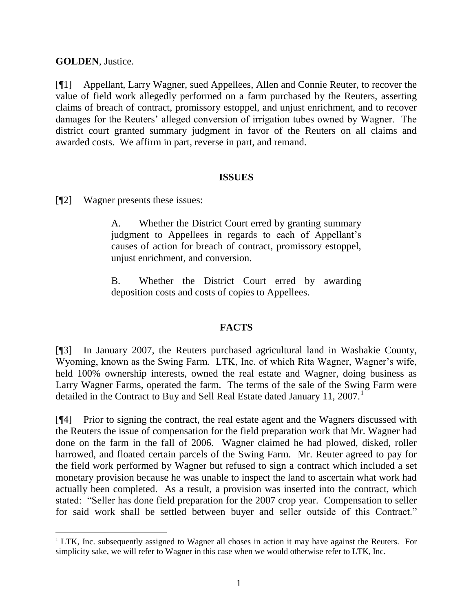**GOLDEN**, Justice.

l

[¶1] Appellant, Larry Wagner, sued Appellees, Allen and Connie Reuter, to recover the value of field work allegedly performed on a farm purchased by the Reuters, asserting claims of breach of contract, promissory estoppel, and unjust enrichment, and to recover damages for the Reuters' alleged conversion of irrigation tubes owned by Wagner. The district court granted summary judgment in favor of the Reuters on all claims and awarded costs. We affirm in part, reverse in part, and remand.

## **ISSUES**

[¶2] Wagner presents these issues:

A. Whether the District Court erred by granting summary judgment to Appellees in regards to each of Appellant's causes of action for breach of contract, promissory estoppel, unjust enrichment, and conversion.

B. Whether the District Court erred by awarding deposition costs and costs of copies to Appellees.

## **FACTS**

[¶3] In January 2007, the Reuters purchased agricultural land in Washakie County, Wyoming, known as the Swing Farm. LTK, Inc. of which Rita Wagner, Wagner's wife, held 100% ownership interests, owned the real estate and Wagner, doing business as Larry Wagner Farms, operated the farm. The terms of the sale of the Swing Farm were detailed in the Contract to Buy and Sell Real Estate dated January 11, 2007.<sup>1</sup>

[¶4] Prior to signing the contract, the real estate agent and the Wagners discussed with the Reuters the issue of compensation for the field preparation work that Mr. Wagner had done on the farm in the fall of 2006. Wagner claimed he had plowed, disked, roller harrowed, and floated certain parcels of the Swing Farm. Mr. Reuter agreed to pay for the field work performed by Wagner but refused to sign a contract which included a set monetary provision because he was unable to inspect the land to ascertain what work had actually been completed. As a result, a provision was inserted into the contract, which stated: "Seller has done field preparation for the 2007 crop year. Compensation to seller for said work shall be settled between buyer and seller outside of this Contract."

<sup>&</sup>lt;sup>1</sup> LTK, Inc. subsequently assigned to Wagner all choses in action it may have against the Reuters. For simplicity sake, we will refer to Wagner in this case when we would otherwise refer to LTK, Inc.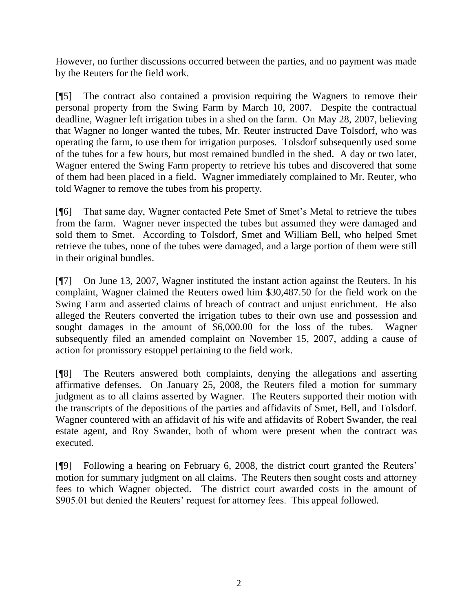However, no further discussions occurred between the parties, and no payment was made by the Reuters for the field work.

[¶5] The contract also contained a provision requiring the Wagners to remove their personal property from the Swing Farm by March 10, 2007. Despite the contractual deadline, Wagner left irrigation tubes in a shed on the farm. On May 28, 2007, believing that Wagner no longer wanted the tubes, Mr. Reuter instructed Dave Tolsdorf, who was operating the farm, to use them for irrigation purposes. Tolsdorf subsequently used some of the tubes for a few hours, but most remained bundled in the shed. A day or two later, Wagner entered the Swing Farm property to retrieve his tubes and discovered that some of them had been placed in a field. Wagner immediately complained to Mr. Reuter, who told Wagner to remove the tubes from his property.

[¶6] That same day, Wagner contacted Pete Smet of Smet's Metal to retrieve the tubes from the farm. Wagner never inspected the tubes but assumed they were damaged and sold them to Smet. According to Tolsdorf, Smet and William Bell, who helped Smet retrieve the tubes, none of the tubes were damaged, and a large portion of them were still in their original bundles.

[¶7] On June 13, 2007, Wagner instituted the instant action against the Reuters. In his complaint, Wagner claimed the Reuters owed him \$30,487.50 for the field work on the Swing Farm and asserted claims of breach of contract and unjust enrichment. He also alleged the Reuters converted the irrigation tubes to their own use and possession and sought damages in the amount of \$6,000.00 for the loss of the tubes. Wagner subsequently filed an amended complaint on November 15, 2007, adding a cause of action for promissory estoppel pertaining to the field work.

[¶8] The Reuters answered both complaints, denying the allegations and asserting affirmative defenses. On January 25, 2008, the Reuters filed a motion for summary judgment as to all claims asserted by Wagner. The Reuters supported their motion with the transcripts of the depositions of the parties and affidavits of Smet, Bell, and Tolsdorf. Wagner countered with an affidavit of his wife and affidavits of Robert Swander, the real estate agent, and Roy Swander, both of whom were present when the contract was executed.

[¶9] Following a hearing on February 6, 2008, the district court granted the Reuters' motion for summary judgment on all claims. The Reuters then sought costs and attorney fees to which Wagner objected. The district court awarded costs in the amount of \$905.01 but denied the Reuters' request for attorney fees. This appeal followed.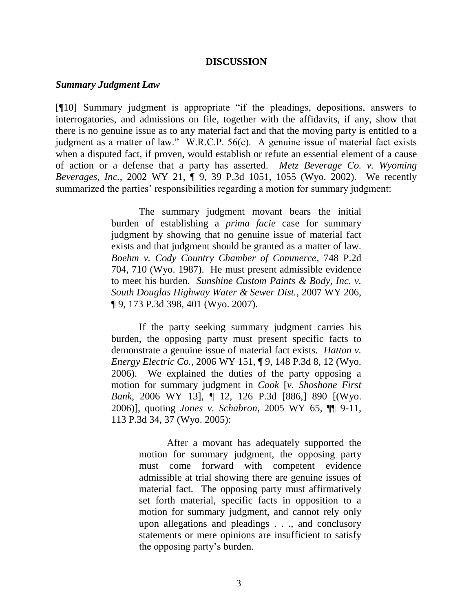#### **DISCUSSION**

#### *Summary Judgment Law*

[¶10] Summary judgment is appropriate "if the pleadings, depositions, answers to interrogatories, and admissions on file, together with the affidavits, if any, show that there is no genuine issue as to any material fact and that the moving party is entitled to a judgment as a matter of law." W.R.C.P. 56(c). A genuine issue of material fact exists when a disputed fact, if proven, would establish or refute an essential element of a cause of action or a defense that a party has asserted. *Metz Beverage Co. v. Wyoming Beverages, Inc.*, 2002 WY 21, ¶ 9, 39 P.3d 1051, 1055 (Wyo. 2002). We recently summarized the parties' responsibilities regarding a motion for summary judgment:

> The summary judgment movant bears the initial burden of establishing a *prima facie* case for summary judgment by showing that no genuine issue of material fact exists and that judgment should be granted as a matter of law. *Boehm v. Cody Country Chamber of Commerce*, 748 P.2d 704, 710 (Wyo. 1987). He must present admissible evidence to meet his burden. *Sunshine Custom Paints & Body, Inc. v. South Douglas Highway Water & Sewer Dist.*, 2007 WY 206, ¶ 9, 173 P.3d 398, 401 (Wyo. 2007).

> If the party seeking summary judgment carries his burden, the opposing party must present specific facts to demonstrate a genuine issue of material fact exists. *Hatton v. Energy Electric Co.*, 2006 WY 151, ¶ 9, 148 P.3d 8, 12 (Wyo. 2006). We explained the duties of the party opposing a motion for summary judgment in *Cook* [*v. Shoshone First Bank*, 2006 WY 13], ¶ 12, 126 P.3d [886,] 890 [(Wyo. 2006)], quoting *Jones v. Schabron*, 2005 WY 65, ¶¶ 9-11, 113 P.3d 34, 37 (Wyo. 2005):

> > After a movant has adequately supported the motion for summary judgment, the opposing party must come forward with competent evidence admissible at trial showing there are genuine issues of material fact. The opposing party must affirmatively set forth material, specific facts in opposition to a motion for summary judgment, and cannot rely only upon allegations and pleadings . . ., and conclusory statements or mere opinions are insufficient to satisfy the opposing party's burden.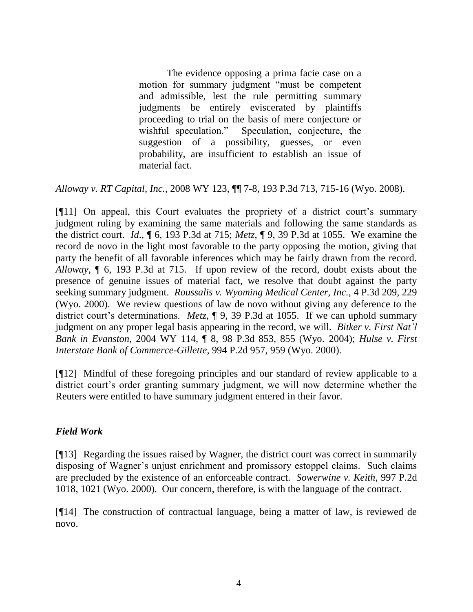The evidence opposing a prima facie case on a motion for summary judgment "must be competent and admissible, lest the rule permitting summary judgments be entirely eviscerated by plaintiffs proceeding to trial on the basis of mere conjecture or wishful speculation." Speculation, conjecture, the suggestion of a possibility, guesses, or even probability, are insufficient to establish an issue of material fact.

## *Alloway v. RT Capital, Inc.*, 2008 WY 123, ¶¶ 7-8, 193 P.3d 713, 715-16 (Wyo. 2008).

[¶11] On appeal, this Court evaluates the propriety of a district court's summary judgment ruling by examining the same materials and following the same standards as the district court. *Id*., ¶ 6, 193 P.3d at 715; *Metz*, ¶ 9, 39 P.3d at 1055. We examine the record de novo in the light most favorable to the party opposing the motion, giving that party the benefit of all favorable inferences which may be fairly drawn from the record. *Alloway*, ¶ 6, 193 P.3d at 715. If upon review of the record, doubt exists about the presence of genuine issues of material fact, we resolve that doubt against the party seeking summary judgment. *Roussalis v. Wyoming Medical Center, Inc.*, 4 P.3d 209, 229 (Wyo. 2000). We review questions of law de novo without giving any deference to the district court's determinations. *Metz*, ¶ 9, 39 P.3d at 1055. If we can uphold summary judgment on any proper legal basis appearing in the record, we will. *Bitker v. First Nat'l Bank in Evanston*, 2004 WY 114, ¶ 8, 98 P.3d 853, 855 (Wyo. 2004); *Hulse v. First Interstate Bank of Commerce-Gillette*, 994 P.2d 957, 959 (Wyo. 2000).

[¶12] Mindful of these foregoing principles and our standard of review applicable to a district court's order granting summary judgment, we will now determine whether the Reuters were entitled to have summary judgment entered in their favor.

## *Field Work*

[¶13] Regarding the issues raised by Wagner, the district court was correct in summarily disposing of Wagner's unjust enrichment and promissory estoppel claims. Such claims are precluded by the existence of an enforceable contract. *Sowerwine v. Keith*, 997 P.2d 1018, 1021 (Wyo. 2000). Our concern, therefore, is with the language of the contract.

[¶14] The construction of contractual language, being a matter of law, is reviewed de novo.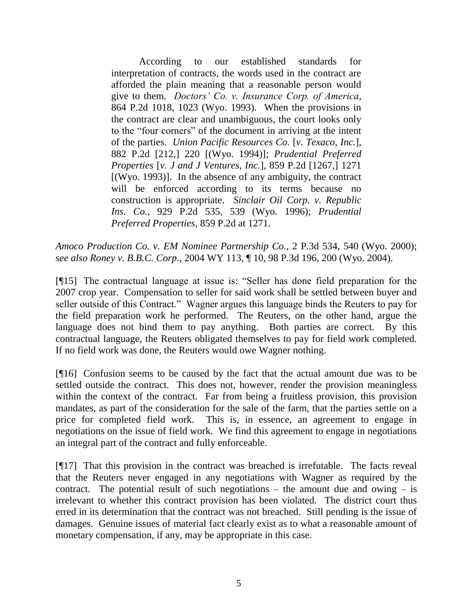According to our established standards for interpretation of contracts, the words used in the contract are afforded the plain meaning that a reasonable person would give to them. *Doctors' Co. v. Insurance Corp. of America*, 864 P.2d 1018, 1023 (Wyo. 1993). When the provisions in the contract are clear and unambiguous, the court looks only to the "four corners" of the document in arriving at the intent of the parties. *Union Pacific Resources Co.* [*v. Texaco, Inc.*], 882 P.2d [212,] 220 [(Wyo. 1994)]; *Prudential Preferred Properties* [*v. J and J Ventures, Inc.*], 859 P.2d [1267,] 1271 [(Wyo. 1993)]. In the absence of any ambiguity, the contract will be enforced according to its terms because no construction is appropriate. *Sinclair Oil Corp. v. Republic Ins. Co.*, 929 P.2d 535, 539 (Wyo. 1996); *Prudential Preferred Properties*, 859 P.2d at 1271.

*Amoco Production Co. v. EM Nominee Partnership Co.*, 2 P.3d 534, 540 (Wyo. 2000); *see also Roney v. B.B.C. Corp.*, 2004 WY 113, ¶ 10, 98 P.3d 196, 200 (Wyo. 2004).

[¶15] The contractual language at issue is: "Seller has done field preparation for the 2007 crop year. Compensation to seller for said work shall be settled between buyer and seller outside of this Contract." Wagner argues this language binds the Reuters to pay for the field preparation work he performed. The Reuters, on the other hand, argue the language does not bind them to pay anything. Both parties are correct. By this contractual language, the Reuters obligated themselves to pay for field work completed. If no field work was done, the Reuters would owe Wagner nothing.

[¶16] Confusion seems to be caused by the fact that the actual amount due was to be settled outside the contract. This does not, however, render the provision meaningless within the context of the contract. Far from being a fruitless provision, this provision mandates, as part of the consideration for the sale of the farm, that the parties settle on a price for completed field work. This is, in essence, an agreement to engage in negotiations on the issue of field work. We find this agreement to engage in negotiations an integral part of the contract and fully enforceable.

[¶17] That this provision in the contract was breached is irrefutable. The facts reveal that the Reuters never engaged in any negotiations with Wagner as required by the contract. The potential result of such negotiations – the amount due and owing  $-$  is irrelevant to whether this contract provision has been violated. The district court thus erred in its determination that the contract was not breached. Still pending is the issue of damages. Genuine issues of material fact clearly exist as to what a reasonable amount of monetary compensation, if any, may be appropriate in this case.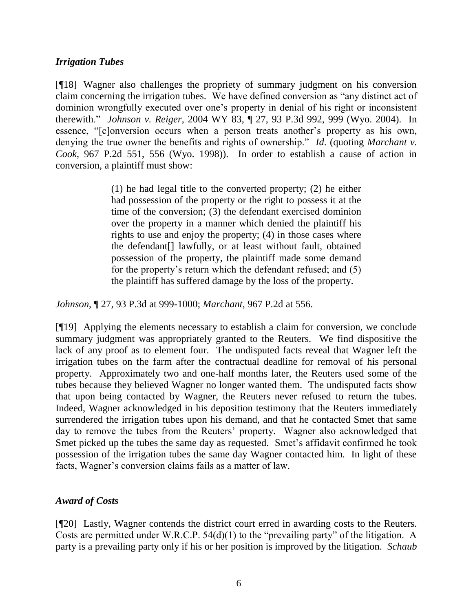## *Irrigation Tubes*

[¶18] Wagner also challenges the propriety of summary judgment on his conversion claim concerning the irrigation tubes. We have defined conversion as "any distinct act of dominion wrongfully executed over one's property in denial of his right or inconsistent therewith." *Johnson v. Reiger*, 2004 WY 83, ¶ 27, 93 P.3d 992, 999 (Wyo. 2004). In essence, "[c]onversion occurs when a person treats another's property as his own, denying the true owner the benefits and rights of ownership." *Id*. (quoting *Marchant v. Cook*, 967 P.2d 551, 556 (Wyo. 1998)). In order to establish a cause of action in conversion, a plaintiff must show:

> (1) he had legal title to the converted property; (2) he either had possession of the property or the right to possess it at the time of the conversion; (3) the defendant exercised dominion over the property in a manner which denied the plaintiff his rights to use and enjoy the property; (4) in those cases where the defendant[] lawfully, or at least without fault, obtained possession of the property, the plaintiff made some demand for the property's return which the defendant refused; and (5) the plaintiff has suffered damage by the loss of the property.

*Johnson*, ¶ 27, 93 P.3d at 999-1000; *Marchant*, 967 P.2d at 556.

[¶19] Applying the elements necessary to establish a claim for conversion, we conclude summary judgment was appropriately granted to the Reuters. We find dispositive the lack of any proof as to element four. The undisputed facts reveal that Wagner left the irrigation tubes on the farm after the contractual deadline for removal of his personal property. Approximately two and one-half months later, the Reuters used some of the tubes because they believed Wagner no longer wanted them. The undisputed facts show that upon being contacted by Wagner, the Reuters never refused to return the tubes. Indeed, Wagner acknowledged in his deposition testimony that the Reuters immediately surrendered the irrigation tubes upon his demand, and that he contacted Smet that same day to remove the tubes from the Reuters' property. Wagner also acknowledged that Smet picked up the tubes the same day as requested. Smet's affidavit confirmed he took possession of the irrigation tubes the same day Wagner contacted him. In light of these facts, Wagner's conversion claims fails as a matter of law.

## *Award of Costs*

[¶20] Lastly, Wagner contends the district court erred in awarding costs to the Reuters. Costs are permitted under W.R.C.P. 54(d)(1) to the "prevailing party" of the litigation. A party is a prevailing party only if his or her position is improved by the litigation. *Schaub*